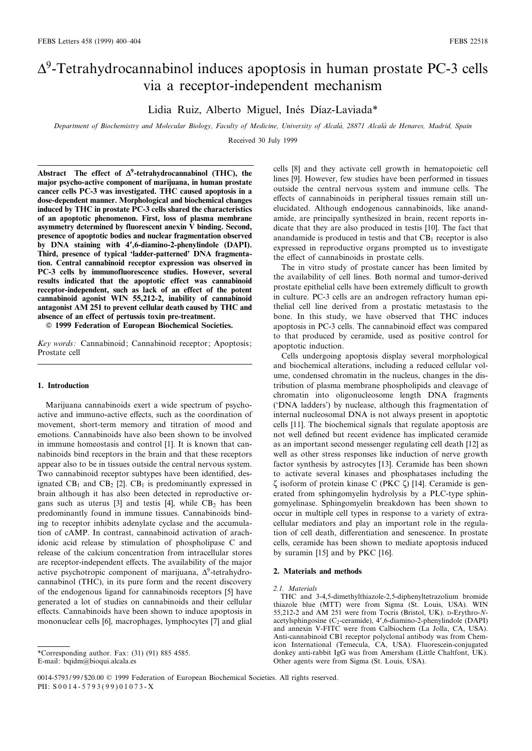# $\Delta^9$ -Tetrahydrocannabinol induces apoptosis in human prostate PC-3 cells via a receptor-independent mechanism

Lidia Ruiz, Alberto Miguel, Inés Díaz-Laviada\*

Department of Biochemistry and Molecular Biology, Faculty of Medicine, University of Alcalá, 28871 Alcalá de Henares, Madrid, Spain

Received 30 July 1999

Abstract The effect of  $\Delta^9$ -tetrahydrocannabinol (THC), the major psycho-active component of marijuana, in human prostate cancer cells PC-3 was investigated. THC caused apoptosis in a dose-dependent manner. Morphological and biochemical changes induced by THC in prostate PC-3 cells shared the characteristics of an apoptotic phenomenon. First, loss of plasma membrane asymmetry determined by fluorescent anexin V binding. Second, presence of apoptotic bodies and nuclear fragmentation observed by DNA staining with 4',6-diamino-2-phenylindole (DAPI). Third, presence of typical 'ladder-patterned' DNA fragmentation. Central cannabinoid receptor expression was observed in PC-3 cells by immunofluorescence studies. However, several results indicated that the apoptotic effect was cannabinoid receptor-independent, such as lack of an effect of the potent cannabinoid agonist WIN 55,212-2, inability of cannabinoid antagonist AM 251 to prevent cellular death caused by THC and absence of an effect of pertussis toxin pre-treatment.

 $©$  1999 Federation of European Biochemical Societies.

Key words: Cannabinoid; Cannabinoid receptor; Apoptosis; Prostate cell

### 1. Introduction

Marijuana cannabinoids exert a wide spectrum of psychoactive and immuno-active effects, such as the coordination of movement, short-term memory and titration of mood and emotions. Cannabinoids have also been shown to be involved in immune homeostasis and control [1]. It is known that cannabinoids bind receptors in the brain and that these receptors appear also to be in tissues outside the central nervous system. Two cannabinoid receptor subtypes have been identified, designated  $CB_1$  and  $CB_2$  [2].  $CB_1$  is predominantly expressed in brain although it has also been detected in reproductive organs such as uterus [3] and testis [4], while  $CB_2$  has been predominantly found in immune tissues. Cannabinoids binding to receptor inhibits adenylate cyclase and the accumulation of cAMP. In contrast, cannabinoid activation of arachidonic acid release by stimulation of phospholipase C and release of the calcium concentration from intracellular stores are receptor-independent effects. The availability of the major active psychotropic component of marijuana,  $\Delta^9$ -tetrahydrocannabinol (THC), in its pure form and the recent discovery of the endogenous ligand for cannabinoids receptors [5] have generated a lot of studies on cannabinoids and their cellular effects. Cannabinoids have been shown to induce apoptosis in mononuclear cells [6], macrophages, lymphocytes [7] and glial

\*Corresponding author. Fax: (31) (91) 885 4585. E-mail: bqidm@bioqui.alcala.es

cells [8] and they activate cell growth in hematopoietic cell lines [9]. However, few studies have been performed in tissues outside the central nervous system and immune cells. The effects of cannabinoids in peripheral tissues remain still unelucidated. Although endogenous cannabinoids, like anandamide, are principally synthesized in brain, recent reports indicate that they are also produced in testis [10]. The fact that anandamide is produced in testis and that  $CB<sub>1</sub>$  receptor is also expressed in reproductive organs prompted us to investigate the effect of cannabinoids in prostate cells.

The in vitro study of prostate cancer has been limited by the availability of cell lines. Both normal and tumor-derived prostate epithelial cells have been extremely difficult to growth in culture. PC-3 cells are an androgen refractory human epithelial cell line derived from a prostatic metastasis to the bone. In this study, we have observed that THC induces apoptosis in PC-3 cells. The cannabinoid effect was compared to that produced by ceramide, used as positive control for apoptotic induction.

Cells undergoing apoptosis display several morphological and biochemical alterations, including a reduced cellular volume, condensed chromatin in the nucleus, changes in the distribution of plasma membrane phospholipids and cleavage of chromatin into oligonucleosome length DNA fragments (`DNA ladders') by nuclease, although this fragmentation of internal nucleosomal DNA is not always present in apoptotic cells [11]. The biochemical signals that regulate apoptosis are not well defined but recent evidence has implicated ceramide as an important second messenger regulating cell death [12] as well as other stress responses like induction of nerve growth factor synthesis by astrocytes [13]. Ceramide has been shown to activate several kinases and phosphatases including the  $\zeta$  isoform of protein kinase C (PKC  $\zeta$ ) [14]. Ceramide is generated from sphingomyelin hydrolysis by a PLC-type sphingomyelinase. Sphingomyelin breakdown has been shown to occur in multiple cell types in response to a variety of extracellular mediators and play an important role in the regulation of cell death, differentiation and senescence. In prostate cells, ceramide has been shown to mediate apoptosis induced by suramin [15] and by PKC [16].

### 2. Materials and methods

#### 2.1. Materials

THC and 3-4,5-dimethylthiazole-2,5-diphenyltetrazolium bromide thiazole blue (MTT) were from Sigma (St. Louis, USA). WIN 55,212-2 and AM 251 were from Tocris (Bristol, UK). <sup>D</sup>-Erythro-Nacetylsphingosine (C<sub>2</sub>-ceramide), 4',6-diamino-2-phenylindole (DAPI) and annexin V-FITC were from Calbiochem (La Jolla, CA, USA). Anti-cannabinoid CB1 receptor polyclonal antibody was from Chemicon International (Temecula, CA, USA). Fluorescein-conjugated donkey anti-rabbit IgG was from Amersham (Little Chaltfont, UK). Other agents were from Sigma (St. Louis, USA).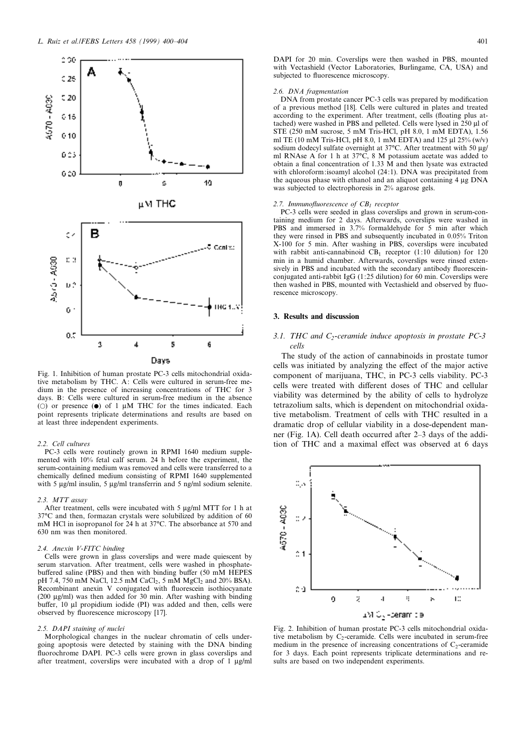

Fig. 1. Inhibition of human prostate PC-3 cells mitochondrial oxidative metabolism by THC. A: Cells were cultured in serum-free medium in the presence of increasing concentrations of THC for 3 days. B: Cells were cultured in serum-free medium in the absence (O) or presence  $(\bullet)$  of 1  $\mu$ M THC for the times indicated. Each point represents triplicate determinations and results are based on at least three independent experiments.

### 2.2. Cell cultures

PC-3 cells were routinely grown in RPMI 1640 medium supplemented with 10% fetal calf serum. 24 h before the experiment, the serum-containing medium was removed and cells were transferred to a chemically defined medium consisting of RPMI 1640 supplemented with 5  $\mu$ g/ml insulin, 5  $\mu$ g/ml transferrin and 5 ng/ml sodium selenite.

#### 2.3. MTT assay

After treatment, cells were incubated with 5  $\mu$ g/ml MTT for 1 h at 37°C and then, formazan crystals were solubilized by addition of 60 mM HCl in isopropanol for 24 h at 37°C. The absorbance at 570 and 630 nm was then monitored.

## 2.4. Anexin V-FITC binding

Cells were grown in glass coverslips and were made quiescent by serum starvation. After treatment, cells were washed in phosphatebuffered saline (PBS) and then with binding buffer (50 mM HEPES pH 7.4, 750 mM NaCl, 12.5 mM CaCl<sub>2</sub>, 5 mM MgCl<sub>2</sub> and 20% BSA). Recombinant anexin V conjugated with fluorescein isothiocyanate ( $200 \mu$ g/ml) was then added for  $30 \text{ min.}$  After washing with binding buffer, 10 µl propidium iodide (PI) was added and then, cells were observed by fluorescence microscopy [17].

#### 2.5. DAPI staining of nuclei

Morphological changes in the nuclear chromatin of cells undergoing apoptosis were detected by staining with the DNA binding fluorochrome DAPI. PC-3 cells were grown in glass coverslips and after treatment, coverslips were incubated with a drop of  $1 \mu g/ml$  DAPI for 20 min. Coverslips were then washed in PBS, mounted with Vectashield (Vector Laboratories, Burlingame, CA, USA) and subjected to fluorescence microscopy.

#### 2.6. DNA fragmentation

DNA from prostate cancer PC-3 cells was prepared by modification of a previous method [18]. Cells were cultured in plates and treated according to the experiment. After treatment, cells (floating plus attached) were washed in PBS and pelleted. Cells were lysed in 250 Wl of STE (250 mM sucrose, 5 mM Tris-HCl, pH 8.0, 1 mM EDTA), 1.56 ml TE (10 mM Tris-HCl, pH 8.0, 1 mM EDTA) and 125  $\mu$ l 25% (w/v) sodium dodecyl sulfate overnight at 37°C. After treatment with 50  $\mu$ g/ ml RNAse A for 1 h at 37°C, 8 M potassium acetate was added to obtain a final concentration of 1.33  $\dot{M}$  and then lysate was extracted with chloroform:isoamyl alcohol (24:1). DNA was precipitated from the aqueous phase with ethanol and an aliquot containing  $4 \mu$ g DNA was subjected to electrophoresis in 2% agarose gels.

## 2.7. Immunofluorescence of  $CB<sub>1</sub>$  receptor

PC-3 cells were seeded in glass coverslips and grown in serum-containing medium for 2 days. Afterwards, coverslips were washed in PBS and immersed in 3.7% formaldehyde for 5 min after which they were rinsed in PBS and subsequently incubated in 0.05% Triton X-100 for 5 min. After washing in PBS, coverslips were incubated with rabbit anti-cannabinoid  $CB<sub>1</sub>$  receptor (1:10 dilution) for 120 min in a humid chamber. Afterwards, coverslips were rinsed extensively in PBS and incubated with the secondary antibody fluoresceinconjugated anti-rabbit IgG (1:25 dilution) for 60 min. Coverslips were then washed in PBS, mounted with Vectashield and observed by fluorescence microscopy.

## 3. Results and discussion

# 3.1. THC and  $C_2$ -ceramide induce apoptosis in prostate PC-3 cells

The study of the action of cannabinoids in prostate tumor cells was initiated by analyzing the effect of the major active component of marijuana, THC, in PC-3 cells viability. PC-3 cells were treated with different doses of THC and cellular viability was determined by the ability of cells to hydrolyze tetrazolium salts, which is dependent on mitochondrial oxidative metabolism. Treatment of cells with THC resulted in a dramatic drop of cellular viability in a dose-dependent manner (Fig. 1A). Cell death occurred after 2^3 days of the addition of THC and a maximal effect was observed at 6 days



Fig. 2. Inhibition of human prostate PC-3 cells mitochondrial oxidative metabolism by  $C_2$ -ceramide. Cells were incubated in serum-free medium in the presence of increasing concentrations of  $C<sub>2</sub>$ -ceramide for 3 days. Each point represents triplicate determinations and results are based on two independent experiments.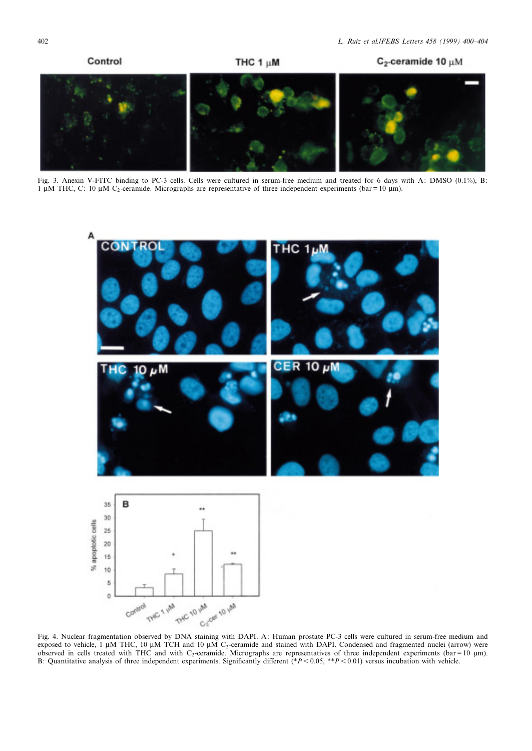

Fig. 3. Anexin V-FITC binding to PC-3 cells. Cells were cultured in serum-free medium and treated for 6 days with A: DMSO (0.1%), B: 1  $\mu$ M THC, C: 10  $\mu$ M C<sub>2</sub>-ceramide. Micrographs are representative of three independent experiments (bar = 10  $\mu$ m).



Fig. 4. Nuclear fragmentation observed by DNA staining with DAPI. A: Human prostate PC-3 cells were cultured in serum-free medium and exposed to vehicle, 1  $\mu$ M THC, 10  $\mu$ M TCH and 10  $\mu$ M C<sub>2</sub>-ceramide and stained with DAPI. Condensed and fragmented nuclei (arrow) were observed in cells treated with THC and with  $C_2$ -ceramide. Micrographs are representatives of three independent experiments (bar = 10 µm). B: Quantitative analysis of three independent experiments. Significantly different  $(*P<0.05, **P<0.01)$  versus incubation with vehicle.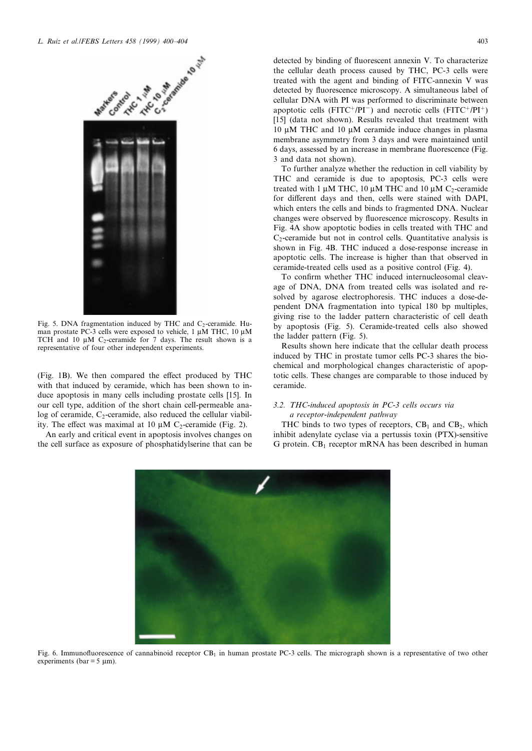

Fig. 5. DNA fragmentation induced by THC and  $C_2$ -ceramide. Human prostate PC-3 cells were exposed to vehicle,  $1 \mu M$  THC,  $10 \mu M$ TCH and 10  $\mu$ M C<sub>2</sub>-ceramide for 7 days. The result shown is a representative of four other independent experiments.

(Fig. 1B). We then compared the effect produced by THC with that induced by ceramide, which has been shown to induce apoptosis in many cells including prostate cells [15]. In our cell type, addition of the short chain cell-permeable analog of ceramide,  $C_2$ -ceramide, also reduced the cellular viability. The effect was maximal at 10  $\mu$ M C<sub>2</sub>-ceramide (Fig. 2).

An early and critical event in apoptosis involves changes on the cell surface as exposure of phosphatidylserine that can be

detected by binding of fluorescent annexin V. To characterize the cellular death process caused by THC, PC-3 cells were treated with the agent and binding of FITC-annexin V was detected by fluorescence microscopy. A simultaneous label of cellular DNA with PI was performed to discriminate between apoptotic cells (FITC+/PI<sup>-</sup>) and necrotic cells (FITC+/PI<sup>+</sup>) [15] (data not shown). Results revealed that treatment with 10  $\mu$ M THC and 10  $\mu$ M ceramide induce changes in plasma membrane asymmetry from 3 days and were maintained until 6 days, assessed by an increase in membrane fluorescence (Fig. 3 and data not shown).

To further analyze whether the reduction in cell viability by THC and ceramide is due to apoptosis, PC-3 cells were treated with 1  $\mu$ M THC, 10  $\mu$ M THC and 10  $\mu$ M C<sub>2</sub>-ceramide for different days and then, cells were stained with DAPI, which enters the cells and binds to fragmented DNA. Nuclear changes were observed by fluorescence microscopy. Results in Fig. 4A show apoptotic bodies in cells treated with THC and  $C<sub>2</sub>$ -ceramide but not in control cells. Quantitative analysis is shown in Fig. 4B. THC induced a dose-response increase in apoptotic cells. The increase is higher than that observed in ceramide-treated cells used as a positive control (Fig. 4).

To confirm whether THC induced internucleosomal cleavage of DNA, DNA from treated cells was isolated and resolved by agarose electrophoresis. THC induces a dose-dependent DNA fragmentation into typical 180 bp multiples, giving rise to the ladder pattern characteristic of cell death by apoptosis (Fig. 5). Ceramide-treated cells also showed the ladder pattern (Fig. 5).

Results shown here indicate that the cellular death process induced by THC in prostate tumor cells PC-3 shares the biochemical and morphological changes characteristic of apoptotic cells. These changes are comparable to those induced by ceramide.

# 3.2. THC-induced apoptosis in PC-3 cells occurs via a receptor-independent pathway

THC binds to two types of receptors,  $CB_1$  and  $CB_2$ , which inhibit adenylate cyclase via a pertussis toxin (PTX)-sensitive G protein.  $CB_1$  receptor mRNA has been described in human



Fig. 6. Immunofluorescence of cannabinoid receptor  $CB<sub>1</sub>$  in human prostate PC-3 cells. The micrograph shown is a representative of two other experiments (bar =  $5 \mu$ m).